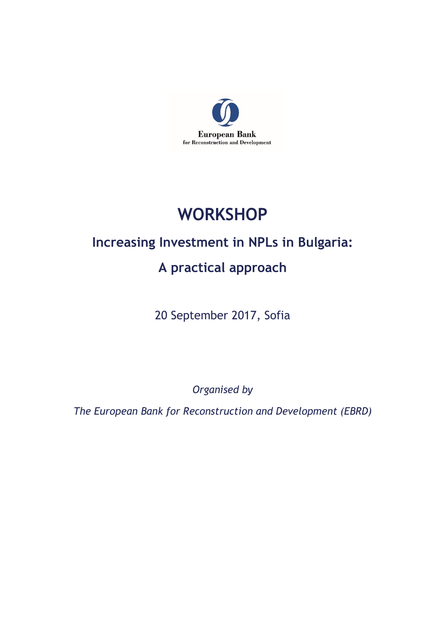

# **WORKSHOP**

## **Increasing Investment in NPLs in Bulgaria:**

## **A practical approach**

20 September 2017, Sofia

*Organised by*

*The European Bank for Reconstruction and Development (EBRD)*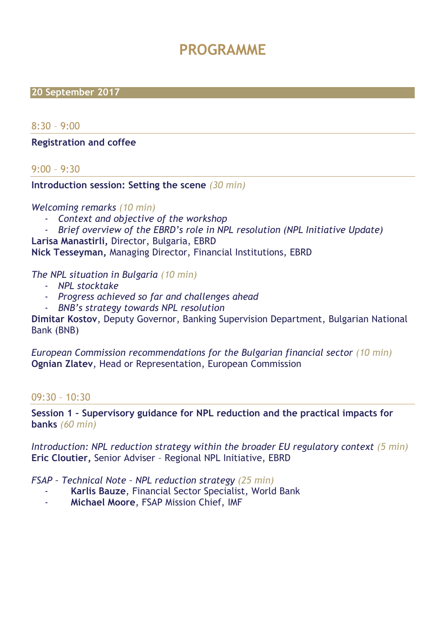## **PROGRAMME**

#### **20 September 2017**

 $8:30 - 9:00$ 

#### **Registration and coffee**

#### 9:00 – 9:30

#### **Introduction session: Setting the scene** *(30 min)*

#### *Welcoming remarks (10 min)*

- *Context and objective of the workshop*
- *Brief overview of the EBRD's role in NPL resolution (NPL Initiative Update)*

**Larisa Manastirli,** Director, Bulgaria, EBRD

**Nick Tesseyman,** Managing Director, Financial Institutions, EBRD

*The NPL situation in Bulgaria (10 min)*

- *NPL stocktake*
- *Progress achieved so far and challenges ahead*
- *BNB's strategy towards NPL resolution*

**Dimitar Kostov**, Deputy Governor, Banking Supervision Department, Bulgarian National Bank (BNB)

*European Commission recommendations for the Bulgarian financial sector (10 min)* **Ognian Zlatev**, Head or Representation, European Commission

#### 09:30 – 10:30

**Session 1 – Supervisory guidance for NPL reduction and the practical impacts for banks** *(60 min)*

*Introduction: NPL reduction strategy within the broader EU regulatory context (5 min)* **Eric Cloutier,** Senior Adviser – Regional NPL Initiative, EBRD

*FSAP – Technical Note – NPL reduction strategy (25 min)*

- **Karlis Bauze**, Financial Sector Specialist, World Bank
- **Michael Moore**, FSAP Mission Chief, IMF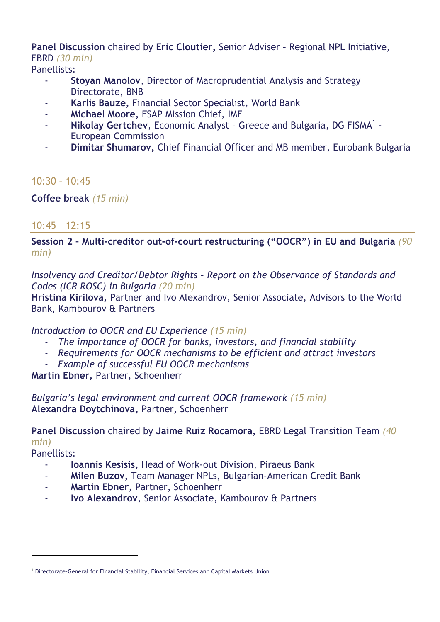## **Panel Discussion** chaired by **Eric Cloutier,** Senior Adviser – Regional NPL Initiative, EBRD *(30 min)*

Panellists:

- **Stoyan Manolov**, Director of Macroprudential Analysis and Strategy Directorate, BNB
- **Karlis Bauze,** Financial Sector Specialist, World Bank
- **Michael Moore,** FSAP Mission Chief, IMF
- **Nikolay Gertchev**, Economic Analyst Greece and Bulgaria, DG FISMA<sup>1</sup> -European Commission
- **Dimitar Shumarov,** Chief Financial Officer and MB member, Eurobank Bulgaria

 $10:30 - 10:45$ 

**Coffee break** *(15 min)*

#### 10:45 – 12:15

**Session 2 – Multi-creditor out-of-court restructuring ("OOCR") in EU and Bulgaria** *(90 min)*

*Insolvency and Creditor/Debtor Rights – Report on the Observance of Standards and Codes (ICR ROSC) in Bulgaria (20 min)*

**Hristina Kirilova,** Partner and Ivo Alexandrov, Senior Associate, Advisors to the World Bank, Kambourov & Partners

#### *Introduction to OOCR and EU Experience (15 min)*

- *The importance of OOCR for banks, investors, and financial stability*
- *Requirements for OOCR mechanisms to be efficient and attract investors*
- *Example of successful EU OOCR mechanisms*

**Martin Ebner,** Partner, Schoenherr

*Bulgaria's legal environment and current OOCR framework (15 min)* **Alexandra Doytchinova,** Partner, Schoenherr

## **Panel Discussion** chaired by **Jaime Ruiz Rocamora,** EBRD Legal Transition Team *(40 min)*

Panellists:

 $\overline{a}$ 

- **Ioannis Kesisis,** Head of Work-out Division, Piraeus Bank
- **Milen Buzov,** Team Manager NPLs, Bulgarian-American Credit Bank
- **Martin Ebner**, Partner, Schoenherr
- **Ivo Alexandrov**, Senior Associate, Kambourov & Partners

<sup>1</sup> Directorate-General for Financial Stability, Financial Services and Capital Markets Union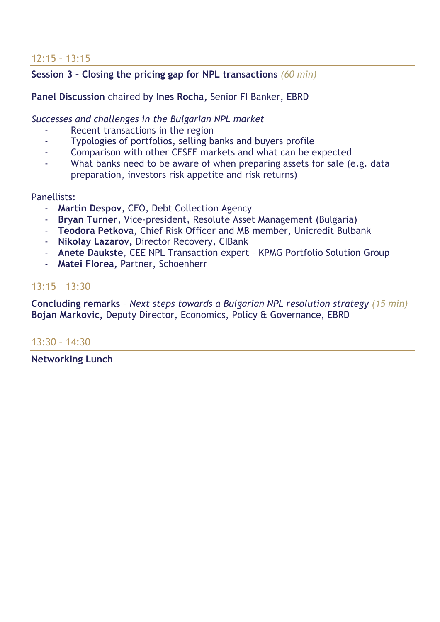## 12:15 – 13:15

## **Session 3 – Closing the pricing gap for NPL transactions** *(60 min)*

**Panel Discussion** chaired by **Ines Rocha,** Senior FI Banker, EBRD

*Successes and challenges in the Bulgarian NPL market*

- Recent transactions in the region
- Typologies of portfolios, selling banks and buyers profile
- Comparison with other CESEE markets and what can be expected
- What banks need to be aware of when preparing assets for sale (e.g. data preparation, investors risk appetite and risk returns)

#### Panellists:

- **Martin Despov**, CEO, Debt Collection Agency
- **Bryan Turner**, Vice-president, Resolute Asset Management (Bulgaria)
- **Teodora Petkova**, Chief Risk Officer and MB member, Unicredit Bulbank
- **Nikolay Lazarov,** Director Recovery, CIBank
- **Anete Daukste**, CEE NPL Transaction expert KPMG Portfolio Solution Group
- **Matei Florea,** Partner, Schoenherr

## 13:15 – 13:30

**Concluding remarks** *– Next steps towards a Bulgarian NPL resolution strategy (15 min)* **Bojan Markovic,** Deputy Director, Economics, Policy & Governance, EBRD

### 13:30 – 14:30

**Networking Lunch**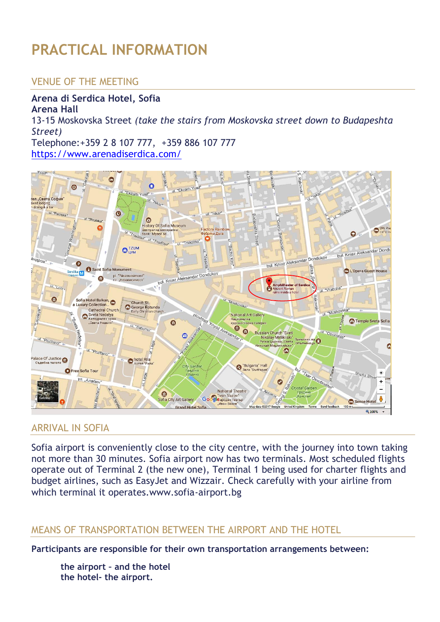# **PRACTICAL INFORMATION**

## VENUE OF THE MEETING

## **Arena di Serdica Hotel, Sofia**

**Arena Hall** 13-15 Moskovska Street *(take the stairs from Moskovska street down to Budapeshta Street)* Telephone[:+359 2 8 107 777,](tel:+35928107777) [+359 886 107 777](tel:+359886107777) <https://www.arenadiserdica.com/>



### ARRIVAL IN SOFIA

Sofia airport is conveniently close to the city centre, with the journey into town taking not more than 30 minutes. Sofia airport now has two terminals. Most scheduled flights operate out of Terminal 2 (the new one), Terminal 1 being used for charter flights and budget airlines, such as EasyJet and Wizzair. Check carefully with your airline from which terminal it operates.www.sofia-airport.bg

#### MEANS OF TRANSPORTATION BETWEEN THE AIRPORT AND THE HOTEL

**Participants are responsible for their own transportation arrangements between:**

**the airport – and the hotel the hotel- the airport.**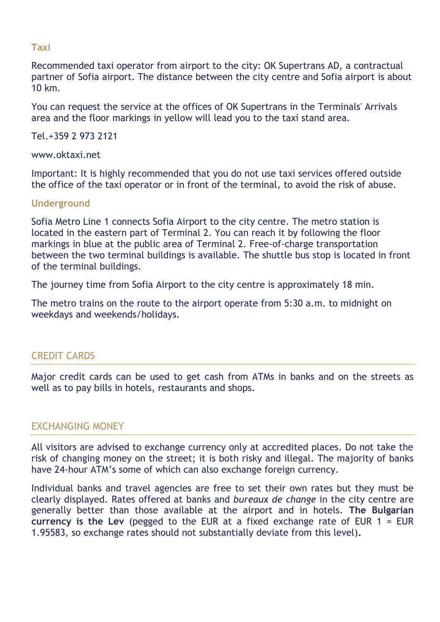#### **Taxi**

Recommended taxi operator from airport to the city: OK Supertrans AD, a contractual partner of Sofia airport. The distance between the city centre and Sofia airport is about 10 km.

You can request the service at the offices of OK Supertrans in the Terminals' Arrivals area and the floor markings in yellow will lead you to the taxi stand area.

Tel.+359 2 973 2121

www.oktaxi.net

Important: It is highly recommended that you do not use taxi services offered outside the office of the taxi operator or in front of the terminal, to avoid the risk of abuse.

#### **Underground**

Sofia Metro Line 1 connects Sofia Airport to the city centre. The metro station is located in the eastern part of Terminal 2. You can reach it by following the floor markings in blue at the public area of Terminal 2. Free-of-charge transportation between the two terminal buildings is available. The shuttle bus stop is located in front of the terminal buildings.

The journey time from Sofia Airport to the city centre is approximately 18 min.

The metro trains on the route to the airport operate from 5:30 a.m. to midnight on weekdays and weekends/holidays.

### CREDIT CARDS

Major credit cards can be used to get cash from ATMs in banks and on the streets as well as to pay bills in hotels, restaurants and shops.

### EXCHANGING MONEY

All visitors are advised to exchange currency only at accredited places. Do not take the risk of changing money on the street; it is both risky and illegal. The majority of banks have 24-hour ATM's some of which can also exchange foreign currency.

Individual banks and travel agencies are free to set their own rates but they must be clearly displayed. Rates offered at banks and *bureaux de change* in the city centre are generally better than those available at the airport and in hotels. **The Bulgarian currency is the Lev** (pegged to the EUR at a fixed exchange rate of EUR 1 = EUR 1.95583, so exchange rates should not substantially deviate from this level)**.**